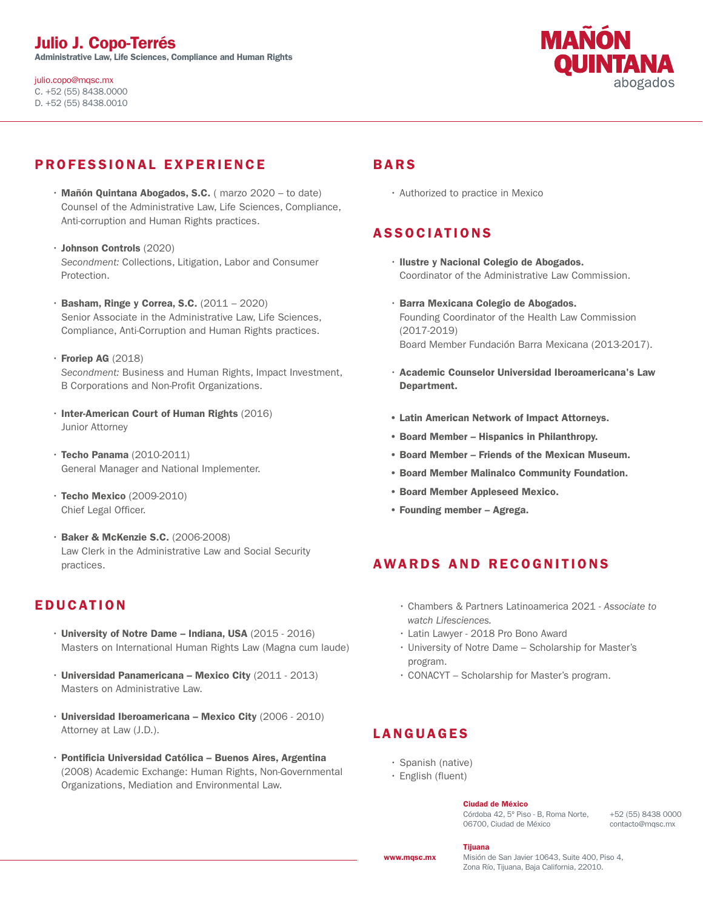julio.copo@mqsc.mx C. +52 (55) 8438.0000 D. +52 (55) 8438.0010



# PROFESSIONAL EXPERIENCE

- $\cdot$  Mañón Quintana Abogados, S.C. (marzo 2020 to date) Counsel of the Administrative Law, Life Sciences, Compliance, Anti-corruption and Human Rights practices.
- Johnson Controls (2020) *Secondment:* Collections, Litigation, Labor and Consumer Protection.
- $\cdot$  Basham, Ringe y Correa, S.C.  $(2011 2020)$ Senior Associate in the Administrative Law, Life Sciences, Compliance, Anti-Corruption and Human Rights practices.
- $\cdot$  Froriep AG (2018) *Secondment:* Business and Human Rights, Impact Investment, B Corporations and Non-Profit Organizations.
- Inter-American Court of Human Rights (2016) Junior Attorney
- Techo Panama (2010-2011) General Manager and National Implementer.
- Techo Mexico (2009-2010) Chief Legal Officer.
- Baker & McKenzie S.C. (2006-2008) Law Clerk in the Administrative Law and Social Security practices.

## **EDUCATION**

- $\cdot$  University of Notre Dame Indiana, USA (2015 2016) Masters on International Human Rights Law (Magna cum laude)
- Universidad Panamericana Mexico City (2011 2013) Masters on Administrative Law.
- $\cdot$  Universidad Iberoamericana Mexico City (2006 2010) Attorney at Law (J.D.).
- Pontificia Universidad Católica Buenos Aires, Argentina (2008) Academic Exchange: Human Rights, Non-Governmental Organizations, Mediation and Environmental Law.

## BARS

• Authorized to practice in Mexico

# ASSOCIATIONS

- Ilustre y Nacional Colegio de Abogados. Coordinator of the Administrative Law Commission.
- Barra Mexicana Colegio de Abogados. Founding Coordinator of the Health Law Commission (2017-2019) Board Member Fundación Barra Mexicana (2013-2017).
- Academic Counselor Universidad Iberoamericana's Law Department.
- Latin American Network of Impact Attorneys.
- Board Member Hispanics in Philanthropy.
- Board Member Friends of the Mexican Museum.
- Board Member Malinalco Community Foundation.
- Board Member Appleseed Mexico.
- Founding member Agrega.

## AWARDS AND RECOGNITIONS

- Chambers & Partners Latinoamerica 2021 *Associate to watch Lifesciences.*
- Latin Lawyer 2018 Pro Bono Award
- University of Notre Dame Scholarship for Master's program.
- CONACYT Scholarship for Master's program.

# LANGUAGES

- Spanish (native)
- English (fluent)

### Ciudad de México

Córdoba 42, 5º Piso - B, Roma Norte, 06700, Ciudad de México

+52 (55) 8438 0000 contacto@mqsc.mx

#### Tijuana

Misión de San Javier 10643, Suite 400, Piso 4, Zona Río, Tijuana, Baja California, 22010.

www.mqsc.mx